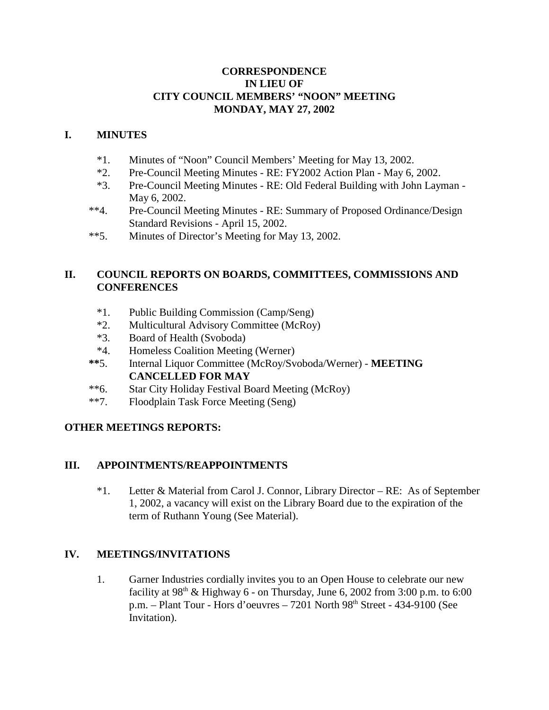### **CORRESPONDENCE IN LIEU OF CITY COUNCIL MEMBERS' "NOON" MEETING MONDAY, MAY 27, 2002**

### **I. MINUTES**

- \*1. Minutes of "Noon" Council Members' Meeting for May 13, 2002.
- \*2. Pre-Council Meeting Minutes RE: FY2002 Action Plan May 6, 2002.
- \*3. Pre-Council Meeting Minutes RE: Old Federal Building with John Layman May 6, 2002.
- \*\*4. Pre-Council Meeting Minutes RE: Summary of Proposed Ordinance/Design Standard Revisions - April 15, 2002.
- \*\*5. Minutes of Director's Meeting for May 13, 2002.

### **II. COUNCIL REPORTS ON BOARDS, COMMITTEES, COMMISSIONS AND CONFERENCES**

- \*1. Public Building Commission (Camp/Seng)
- \*2. Multicultural Advisory Committee (McRoy)
- \*3. Board of Health (Svoboda)
- \*4. Homeless Coalition Meeting (Werner)
- **\*\***5. Internal Liquor Committee (McRoy/Svoboda/Werner) **MEETING CANCELLED FOR MAY**
- \*\*6. Star City Holiday Festival Board Meeting (McRoy)
- \*\*7. Floodplain Task Force Meeting (Seng)

# **OTHER MEETINGS REPORTS:**

# **III. APPOINTMENTS/REAPPOINTMENTS**

\*1. Letter & Material from Carol J. Connor, Library Director – RE: As of September 1, 2002, a vacancy will exist on the Library Board due to the expiration of the term of Ruthann Young (See Material).

# **IV. MEETINGS/INVITATIONS**

1. Garner Industries cordially invites you to an Open House to celebrate our new facility at  $98<sup>th</sup>$  & Highway 6 - on Thursday, June 6, 2002 from 3:00 p.m. to 6:00 p.m. – Plant Tour - Hors d'oeuvres – 7201 North 98th Street - 434-9100 (See Invitation).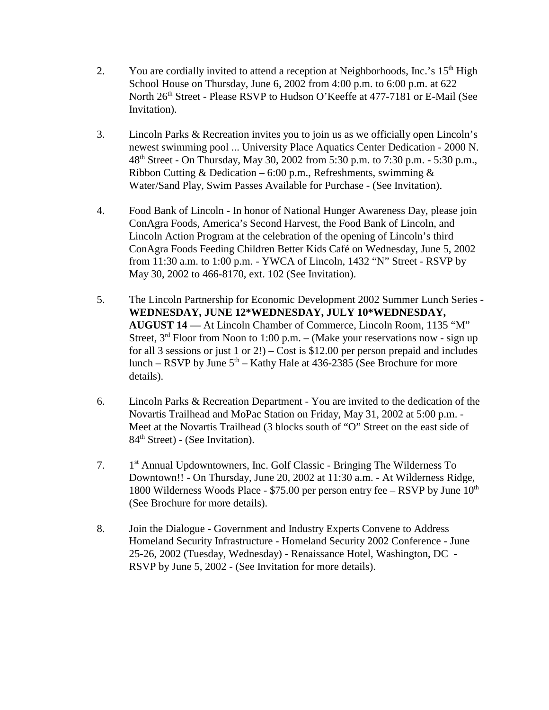- 2. You are cordially invited to attend a reception at Neighborhoods, Inc.'s  $15<sup>th</sup>$  High School House on Thursday, June 6, 2002 from 4:00 p.m. to 6:00 p.m. at 622 North 26<sup>th</sup> Street - Please RSVP to Hudson O'Keeffe at 477-7181 or E-Mail (See Invitation).
- 3. Lincoln Parks & Recreation invites you to join us as we officially open Lincoln's newest swimming pool ... University Place Aquatics Center Dedication - 2000 N. 48th Street - On Thursday, May 30, 2002 from 5:30 p.m. to 7:30 p.m. - 5:30 p.m., Ribbon Cutting & Dedication – 6:00 p.m., Refreshments, swimming  $\&$ Water/Sand Play, Swim Passes Available for Purchase - (See Invitation).
- 4. Food Bank of Lincoln In honor of National Hunger Awareness Day, please join ConAgra Foods, America's Second Harvest, the Food Bank of Lincoln, and Lincoln Action Program at the celebration of the opening of Lincoln's third ConAgra Foods Feeding Children Better Kids Café on Wednesday, June 5, 2002 from 11:30 a.m. to 1:00 p.m. - YWCA of Lincoln, 1432 "N" Street - RSVP by May 30, 2002 to 466-8170, ext. 102 (See Invitation).
- 5. The Lincoln Partnership for Economic Development 2002 Summer Lunch Series **WEDNESDAY, JUNE 12\*WEDNESDAY, JULY 10\*WEDNESDAY, AUGUST 14 —** At Lincoln Chamber of Commerce, Lincoln Room, 1135 "M" Street,  $3<sup>rd</sup>$  Floor from Noon to 1:00 p.m. – (Make your reservations now - sign up for all 3 sessions or just 1 or 2!) – Cost is \$12.00 per person prepaid and includes lunch – RSVP by June  $5<sup>th</sup>$  – Kathy Hale at 436-2385 (See Brochure for more details).
- 6. Lincoln Parks & Recreation Department You are invited to the dedication of the Novartis Trailhead and MoPac Station on Friday, May 31, 2002 at 5:00 p.m. - Meet at the Novartis Trailhead (3 blocks south of "O" Street on the east side of 84<sup>th</sup> Street) - (See Invitation).
- 7. 1st Annual Updowntowners, Inc. Golf Classic Bringing The Wilderness To Downtown!! - On Thursday, June 20, 2002 at 11:30 a.m. - At Wilderness Ridge, 1800 Wilderness Woods Place - \$75.00 per person entry fee – RSVP by June  $10<sup>th</sup>$ (See Brochure for more details).
- 8. Join the Dialogue Government and Industry Experts Convene to Address Homeland Security Infrastructure - Homeland Security 2002 Conference - June 25-26, 2002 (Tuesday, Wednesday) - Renaissance Hotel, Washington, DC - RSVP by June 5, 2002 - (See Invitation for more details).